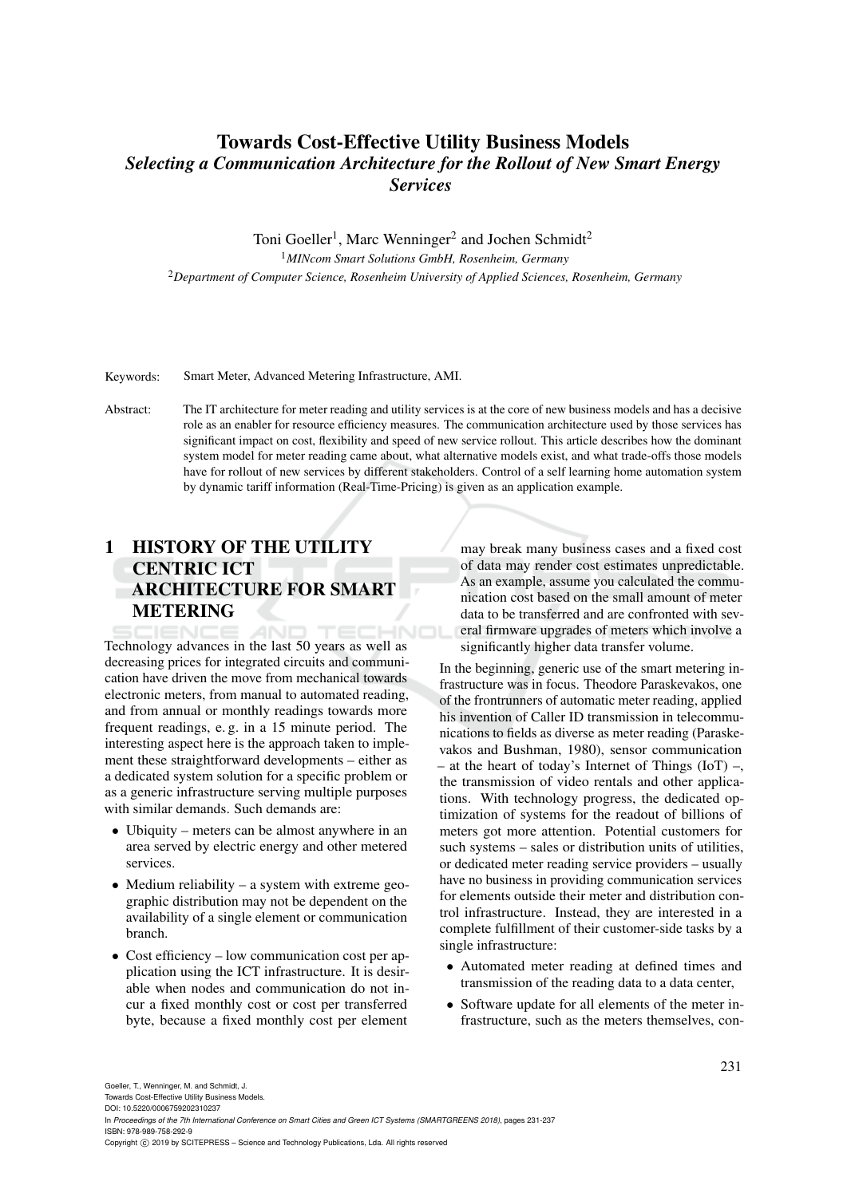# Towards Cost-Effective Utility Business Models *Selecting a Communication Architecture for the Rollout of New Smart Energy Services*

Toni Goeller<sup>1</sup>, Marc Wenninger<sup>2</sup> and Jochen Schmidt<sup>2</sup> <sup>1</sup>*MINcom Smart Solutions GmbH, Rosenheim, Germany* <sup>2</sup>*Department of Computer Science, Rosenheim University of Applied Sciences, Rosenheim, Germany*

Keywords: Smart Meter, Advanced Metering Infrastructure, AMI.

Abstract: The IT architecture for meter reading and utility services is at the core of new business models and has a decisive role as an enabler for resource efficiency measures. The communication architecture used by those services has significant impact on cost, flexibility and speed of new service rollout. This article describes how the dominant system model for meter reading came about, what alternative models exist, and what trade-offs those models have for rollout of new services by different stakeholders. Control of a self learning home automation system by dynamic tariff information (Real-Time-Pricing) is given as an application example.

# 1 HISTORY OF THE UTILITY CENTRIC ICT ARCHITECTURE FOR SMART **METERING**

HNOL Technology advances in the last 50 years as well as decreasing prices for integrated circuits and communication have driven the move from mechanical towards electronic meters, from manual to automated reading, and from annual or monthly readings towards more frequent readings, e. g. in a 15 minute period. The interesting aspect here is the approach taken to implement these straightforward developments – either as a dedicated system solution for a specific problem or as a generic infrastructure serving multiple purposes with similar demands. Such demands are:

- Ubiquity meters can be almost anywhere in an area served by electric energy and other metered services.
- Medium reliability a system with extreme geographic distribution may not be dependent on the availability of a single element or communication branch.
- Cost efficiency low communication cost per application using the ICT infrastructure. It is desirable when nodes and communication do not incur a fixed monthly cost or cost per transferred byte, because a fixed monthly cost per element

may break many business cases and a fixed cost of data may render cost estimates unpredictable. As an example, assume you calculated the communication cost based on the small amount of meter data to be transferred and are confronted with several firmware upgrades of meters which involve a significantly higher data transfer volume.

In the beginning, generic use of the smart metering infrastructure was in focus. Theodore Paraskevakos, one of the frontrunners of automatic meter reading, applied his invention of Caller ID transmission in telecommunications to fields as diverse as meter reading (Paraskevakos and Bushman, 1980), sensor communication – at the heart of today's Internet of Things  $(IoT)$  –, the transmission of video rentals and other applications. With technology progress, the dedicated optimization of systems for the readout of billions of meters got more attention. Potential customers for such systems – sales or distribution units of utilities, or dedicated meter reading service providers – usually have no business in providing communication services for elements outside their meter and distribution control infrastructure. Instead, they are interested in a complete fulfillment of their customer-side tasks by a single infrastructure:

- Automated meter reading at defined times and transmission of the reading data to a data center,
- Software update for all elements of the meter infrastructure, such as the meters themselves, con-

Towards Cost-Effective Utility Business Models. DOI: 10.5220/0006759202310237

In *Proceedings of the 7th International Conference on Smart Cities and Green ICT Systems (SMARTGREENS 2018)*, pages 231-237 ISBN: 978-989-758-292-9

Copyright © 2019 by SCITEPRESS - Science and Technology Publications, Lda. All rights reserved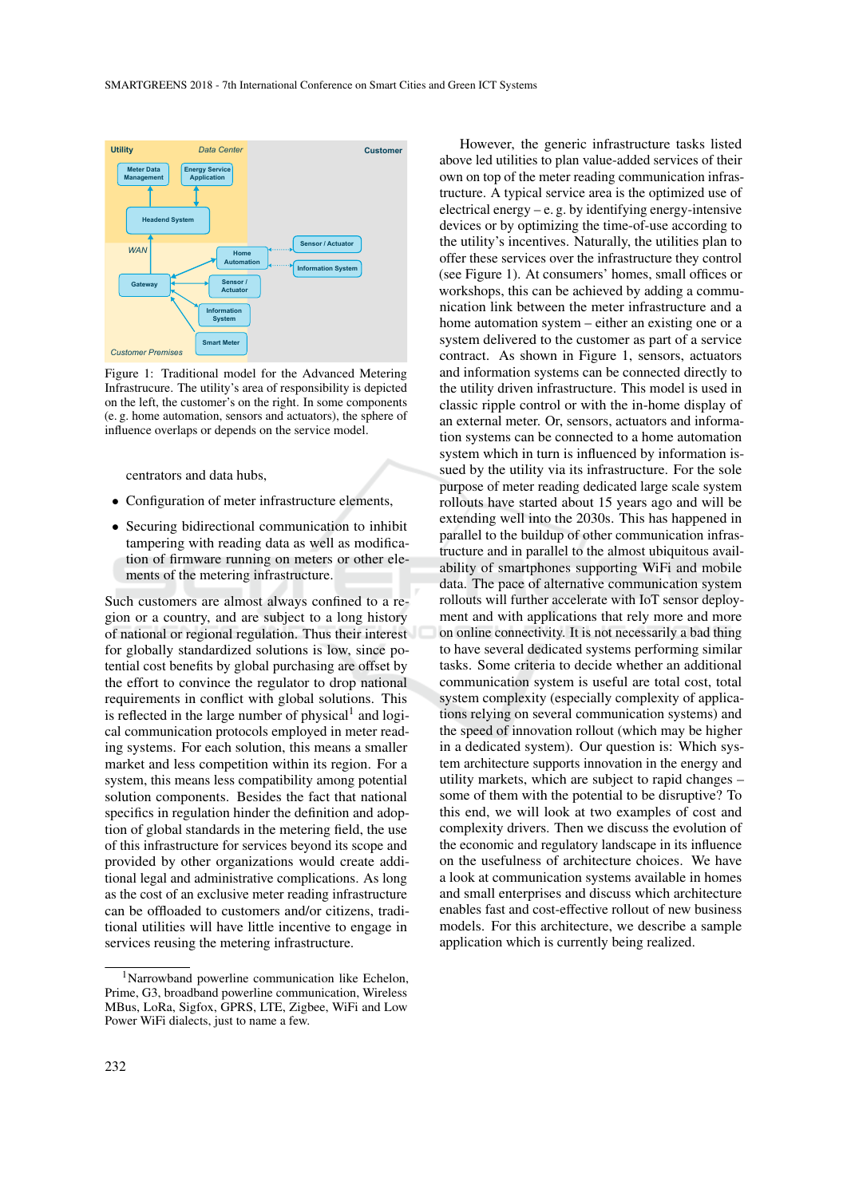

Figure 1: Traditional model for the Advanced Metering Infrastrucure. The utility's area of responsibility is depicted on the left, the customer's on the right. In some components (e. g. home automation, sensors and actuators), the sphere of influence overlaps or depends on the service model.

centrators and data hubs,

- Configuration of meter infrastructure elements,
- Securing bidirectional communication to inhibit tampering with reading data as well as modification of firmware running on meters or other elements of the metering infrastructure.

Such customers are almost always confined to a region or a country, and are subject to a long history of national or regional regulation. Thus their interest for globally standardized solutions is low, since potential cost benefits by global purchasing are offset by the effort to convince the regulator to drop national requirements in conflict with global solutions. This is reflected in the large number of physical<sup>1</sup> and logical communication protocols employed in meter reading systems. For each solution, this means a smaller market and less competition within its region. For a system, this means less compatibility among potential solution components. Besides the fact that national specifics in regulation hinder the definition and adoption of global standards in the metering field, the use of this infrastructure for services beyond its scope and provided by other organizations would create additional legal and administrative complications. As long as the cost of an exclusive meter reading infrastructure can be offloaded to customers and/or citizens, traditional utilities will have little incentive to engage in services reusing the metering infrastructure.

However, the generic infrastructure tasks listed above led utilities to plan value-added services of their own on top of the meter reading communication infrastructure. A typical service area is the optimized use of electrical energy – e. g. by identifying energy-intensive devices or by optimizing the time-of-use according to the utility's incentives. Naturally, the utilities plan to offer these services over the infrastructure they control (see Figure 1). At consumers' homes, small offices or workshops, this can be achieved by adding a communication link between the meter infrastructure and a home automation system – either an existing one or a system delivered to the customer as part of a service contract. As shown in Figure 1, sensors, actuators and information systems can be connected directly to the utility driven infrastructure. This model is used in classic ripple control or with the in-home display of an external meter. Or, sensors, actuators and information systems can be connected to a home automation system which in turn is influenced by information issued by the utility via its infrastructure. For the sole purpose of meter reading dedicated large scale system rollouts have started about 15 years ago and will be extending well into the 2030s. This has happened in parallel to the buildup of other communication infrastructure and in parallel to the almost ubiquitous availability of smartphones supporting WiFi and mobile data. The pace of alternative communication system rollouts will further accelerate with IoT sensor deployment and with applications that rely more and more on online connectivity. It is not necessarily a bad thing to have several dedicated systems performing similar tasks. Some criteria to decide whether an additional communication system is useful are total cost, total system complexity (especially complexity of applications relying on several communication systems) and the speed of innovation rollout (which may be higher in a dedicated system). Our question is: Which system architecture supports innovation in the energy and utility markets, which are subject to rapid changes – some of them with the potential to be disruptive? To this end, we will look at two examples of cost and complexity drivers. Then we discuss the evolution of the economic and regulatory landscape in its influence on the usefulness of architecture choices. We have a look at communication systems available in homes and small enterprises and discuss which architecture enables fast and cost-effective rollout of new business models. For this architecture, we describe a sample application which is currently being realized.

<sup>1</sup>Narrowband powerline communication like Echelon, Prime, G3, broadband powerline communication, Wireless MBus, LoRa, Sigfox, GPRS, LTE, Zigbee, WiFi and Low Power WiFi dialects, just to name a few.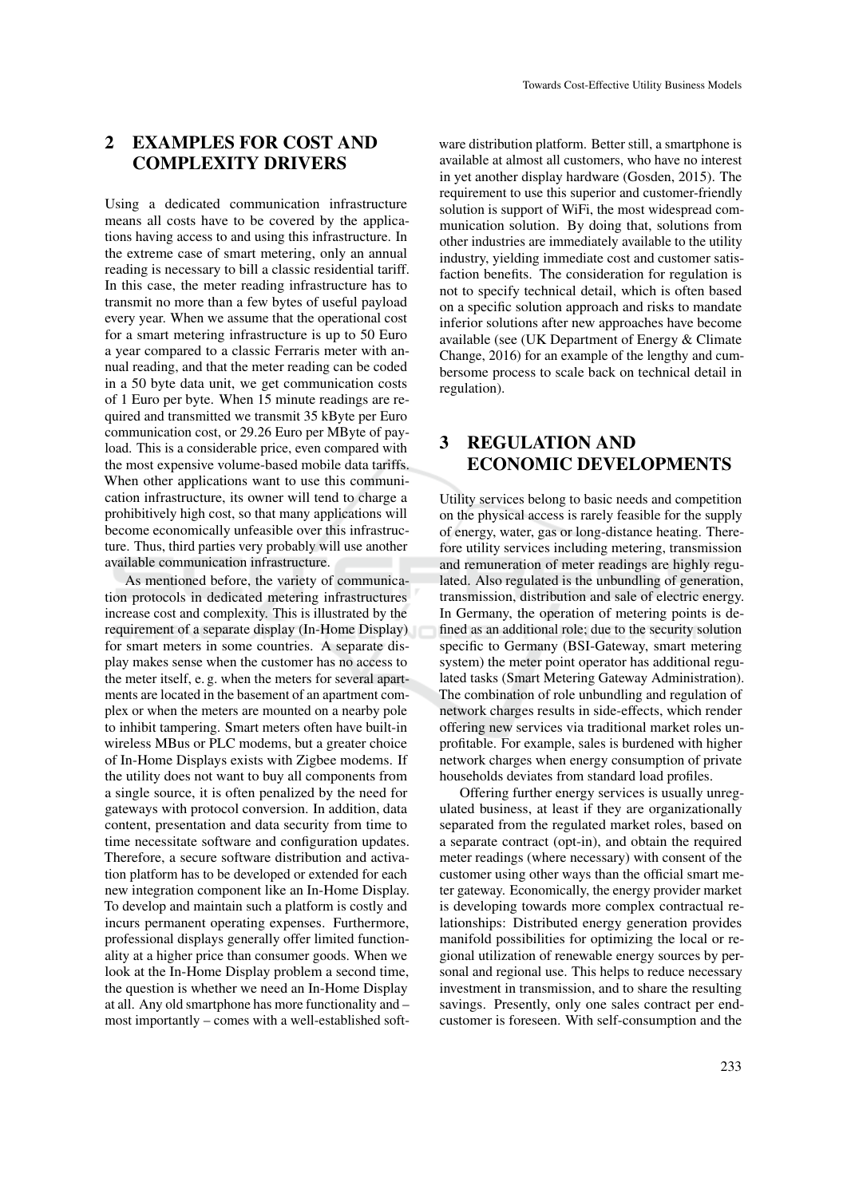## 2 EXAMPLES FOR COST AND COMPLEXITY DRIVERS

Using a dedicated communication infrastructure means all costs have to be covered by the applications having access to and using this infrastructure. In the extreme case of smart metering, only an annual reading is necessary to bill a classic residential tariff. In this case, the meter reading infrastructure has to transmit no more than a few bytes of useful payload every year. When we assume that the operational cost for a smart metering infrastructure is up to 50 Euro a year compared to a classic Ferraris meter with annual reading, and that the meter reading can be coded in a 50 byte data unit, we get communication costs of 1 Euro per byte. When 15 minute readings are required and transmitted we transmit 35 kByte per Euro communication cost, or 29.26 Euro per MByte of payload. This is a considerable price, even compared with the most expensive volume-based mobile data tariffs. When other applications want to use this communication infrastructure, its owner will tend to charge a prohibitively high cost, so that many applications will become economically unfeasible over this infrastructure. Thus, third parties very probably will use another available communication infrastructure.

As mentioned before, the variety of communication protocols in dedicated metering infrastructures increase cost and complexity. This is illustrated by the requirement of a separate display (In-Home Display) for smart meters in some countries. A separate display makes sense when the customer has no access to the meter itself, e. g. when the meters for several apartments are located in the basement of an apartment complex or when the meters are mounted on a nearby pole to inhibit tampering. Smart meters often have built-in wireless MBus or PLC modems, but a greater choice of In-Home Displays exists with Zigbee modems. If the utility does not want to buy all components from a single source, it is often penalized by the need for gateways with protocol conversion. In addition, data content, presentation and data security from time to time necessitate software and configuration updates. Therefore, a secure software distribution and activation platform has to be developed or extended for each new integration component like an In-Home Display. To develop and maintain such a platform is costly and incurs permanent operating expenses. Furthermore, professional displays generally offer limited functionality at a higher price than consumer goods. When we look at the In-Home Display problem a second time, the question is whether we need an In-Home Display at all. Any old smartphone has more functionality and – most importantly – comes with a well-established software distribution platform. Better still, a smartphone is available at almost all customers, who have no interest in yet another display hardware (Gosden, 2015). The requirement to use this superior and customer-friendly solution is support of WiFi, the most widespread communication solution. By doing that, solutions from other industries are immediately available to the utility industry, yielding immediate cost and customer satisfaction benefits. The consideration for regulation is not to specify technical detail, which is often based on a specific solution approach and risks to mandate inferior solutions after new approaches have become available (see (UK Department of Energy & Climate Change, 2016) for an example of the lengthy and cumbersome process to scale back on technical detail in regulation).

## 3 REGULATION AND ECONOMIC DEVELOPMENTS

Utility services belong to basic needs and competition on the physical access is rarely feasible for the supply of energy, water, gas or long-distance heating. Therefore utility services including metering, transmission and remuneration of meter readings are highly regulated. Also regulated is the unbundling of generation, transmission, distribution and sale of electric energy. In Germany, the operation of metering points is defined as an additional role; due to the security solution specific to Germany (BSI-Gateway, smart metering system) the meter point operator has additional regulated tasks (Smart Metering Gateway Administration). The combination of role unbundling and regulation of network charges results in side-effects, which render offering new services via traditional market roles unprofitable. For example, sales is burdened with higher network charges when energy consumption of private households deviates from standard load profiles.

Offering further energy services is usually unregulated business, at least if they are organizationally separated from the regulated market roles, based on a separate contract (opt-in), and obtain the required meter readings (where necessary) with consent of the customer using other ways than the official smart meter gateway. Economically, the energy provider market is developing towards more complex contractual relationships: Distributed energy generation provides manifold possibilities for optimizing the local or regional utilization of renewable energy sources by personal and regional use. This helps to reduce necessary investment in transmission, and to share the resulting savings. Presently, only one sales contract per endcustomer is foreseen. With self-consumption and the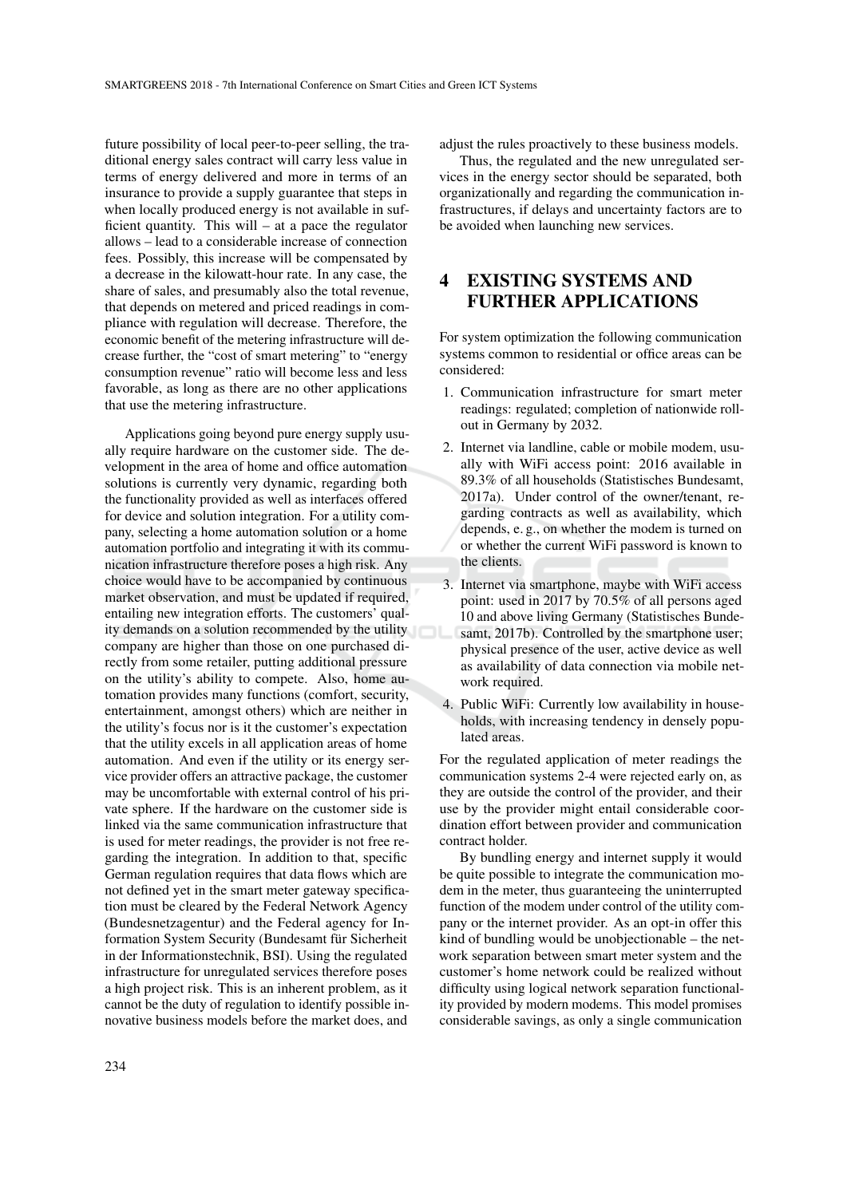future possibility of local peer-to-peer selling, the traditional energy sales contract will carry less value in terms of energy delivered and more in terms of an insurance to provide a supply guarantee that steps in when locally produced energy is not available in sufficient quantity. This will – at a pace the regulator allows – lead to a considerable increase of connection fees. Possibly, this increase will be compensated by a decrease in the kilowatt-hour rate. In any case, the share of sales, and presumably also the total revenue, that depends on metered and priced readings in compliance with regulation will decrease. Therefore, the economic benefit of the metering infrastructure will decrease further, the "cost of smart metering" to "energy consumption revenue" ratio will become less and less favorable, as long as there are no other applications that use the metering infrastructure.

Applications going beyond pure energy supply usually require hardware on the customer side. The development in the area of home and office automation solutions is currently very dynamic, regarding both the functionality provided as well as interfaces offered for device and solution integration. For a utility company, selecting a home automation solution or a home automation portfolio and integrating it with its communication infrastructure therefore poses a high risk. Any choice would have to be accompanied by continuous market observation, and must be updated if required, entailing new integration efforts. The customers' quality demands on a solution recommended by the utility company are higher than those on one purchased directly from some retailer, putting additional pressure on the utility's ability to compete. Also, home automation provides many functions (comfort, security, entertainment, amongst others) which are neither in the utility's focus nor is it the customer's expectation that the utility excels in all application areas of home automation. And even if the utility or its energy service provider offers an attractive package, the customer may be uncomfortable with external control of his private sphere. If the hardware on the customer side is linked via the same communication infrastructure that is used for meter readings, the provider is not free regarding the integration. In addition to that, specific German regulation requires that data flows which are not defined yet in the smart meter gateway specification must be cleared by the Federal Network Agency (Bundesnetzagentur) and the Federal agency for Information System Security (Bundesamt für Sicherheit in der Informationstechnik, BSI). Using the regulated infrastructure for unregulated services therefore poses a high project risk. This is an inherent problem, as it cannot be the duty of regulation to identify possible innovative business models before the market does, and

adjust the rules proactively to these business models.

Thus, the regulated and the new unregulated services in the energy sector should be separated, both organizationally and regarding the communication infrastructures, if delays and uncertainty factors are to be avoided when launching new services.

### 4 EXISTING SYSTEMS AND FURTHER APPLICATIONS

For system optimization the following communication systems common to residential or office areas can be considered:

- 1. Communication infrastructure for smart meter readings: regulated; completion of nationwide rollout in Germany by 2032.
- 2. Internet via landline, cable or mobile modem, usually with WiFi access point: 2016 available in 89.3% of all households (Statistisches Bundesamt, 2017a). Under control of the owner/tenant, regarding contracts as well as availability, which depends, e. g., on whether the modem is turned on or whether the current WiFi password is known to the clients.
- 3. Internet via smartphone, maybe with WiFi access point: used in 2017 by 70.5% of all persons aged 10 and above living Germany (Statistisches Bundesamt, 2017b). Controlled by the smartphone user; physical presence of the user, active device as well as availability of data connection via mobile network required.
- 4. Public WiFi: Currently low availability in households, with increasing tendency in densely populated areas.

For the regulated application of meter readings the communication systems 2-4 were rejected early on, as they are outside the control of the provider, and their use by the provider might entail considerable coordination effort between provider and communication contract holder.

By bundling energy and internet supply it would be quite possible to integrate the communication modem in the meter, thus guaranteeing the uninterrupted function of the modem under control of the utility company or the internet provider. As an opt-in offer this kind of bundling would be unobjectionable – the network separation between smart meter system and the customer's home network could be realized without difficulty using logical network separation functionality provided by modern modems. This model promises considerable savings, as only a single communication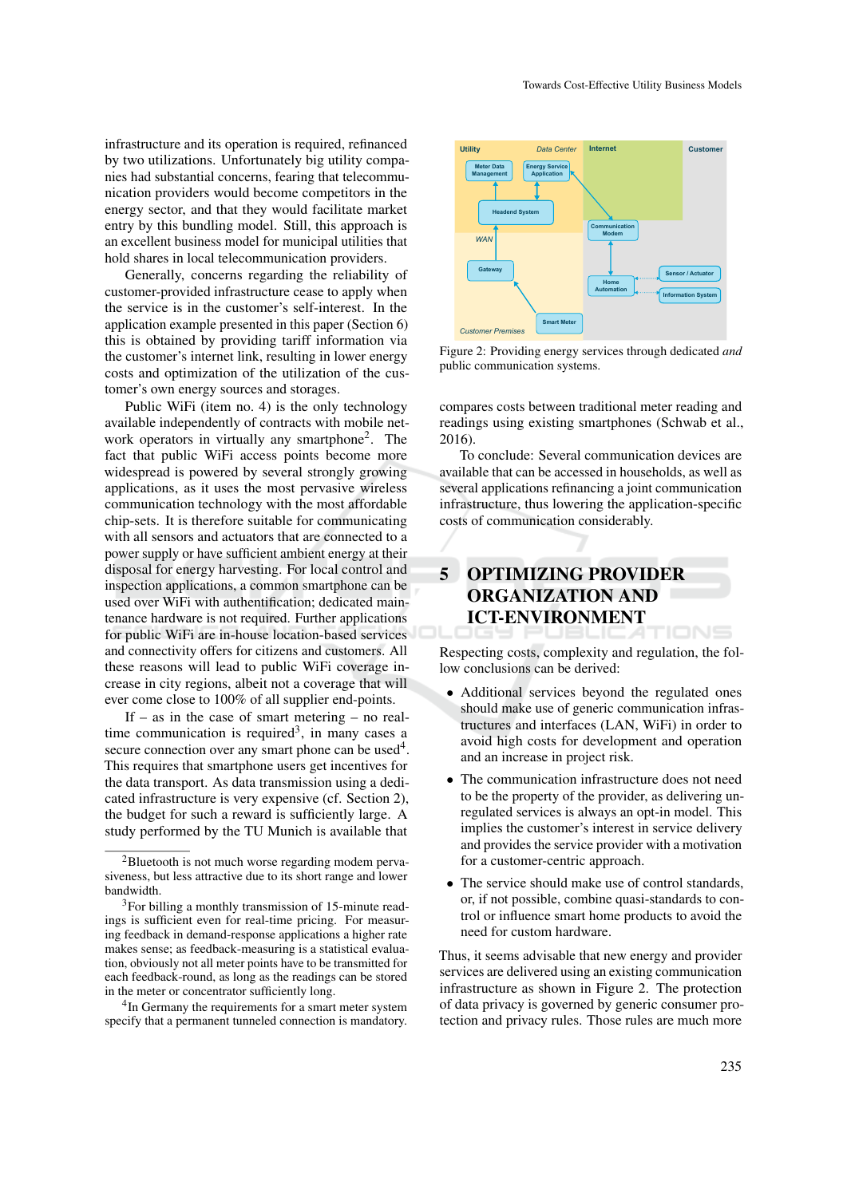infrastructure and its operation is required, refinanced by two utilizations. Unfortunately big utility companies had substantial concerns, fearing that telecommunication providers would become competitors in the energy sector, and that they would facilitate market entry by this bundling model. Still, this approach is an excellent business model for municipal utilities that hold shares in local telecommunication providers.

Generally, concerns regarding the reliability of customer-provided infrastructure cease to apply when the service is in the customer's self-interest. In the application example presented in this paper (Section 6) this is obtained by providing tariff information via the customer's internet link, resulting in lower energy costs and optimization of the utilization of the customer's own energy sources and storages.

Public WiFi (item no. 4) is the only technology available independently of contracts with mobile network operators in virtually any smartphone<sup>2</sup>. The fact that public WiFi access points become more widespread is powered by several strongly growing applications, as it uses the most pervasive wireless communication technology with the most affordable chip-sets. It is therefore suitable for communicating with all sensors and actuators that are connected to a power supply or have sufficient ambient energy at their disposal for energy harvesting. For local control and inspection applications, a common smartphone can be used over WiFi with authentification; dedicated maintenance hardware is not required. Further applications for public WiFi are in-house location-based services and connectivity offers for citizens and customers. All these reasons will lead to public WiFi coverage increase in city regions, albeit not a coverage that will ever come close to 100% of all supplier end-points.

If – as in the case of smart metering – no realtime communication is required<sup>3</sup>, in many cases a secure connection over any smart phone can be used<sup>4</sup>. This requires that smartphone users get incentives for the data transport. As data transmission using a dedicated infrastructure is very expensive (cf. Section 2), the budget for such a reward is sufficiently large. A study performed by the TU Munich is available that

<sup>2</sup>Bluetooth is not much worse regarding modem pervasiveness, but less attractive due to its short range and lower bandwidth.

<sup>4</sup>In Germany the requirements for a smart meter system specify that a permanent tunneled connection is mandatory.



Figure 2: Providing energy services through dedicated *and* public communication systems.

compares costs between traditional meter reading and readings using existing smartphones (Schwab et al., 2016).

To conclude: Several communication devices are available that can be accessed in households, as well as several applications refinancing a joint communication infrastructure, thus lowering the application-specific costs of communication considerably.

#### 5 OPTIMIZING PROVIDER ORGANIZATION AND ICT-ENVIRONMENT TIONS

Respecting costs, complexity and regulation, the follow conclusions can be derived:

- Additional services beyond the regulated ones should make use of generic communication infrastructures and interfaces (LAN, WiFi) in order to avoid high costs for development and operation and an increase in project risk.
- The communication infrastructure does not need to be the property of the provider, as delivering unregulated services is always an opt-in model. This implies the customer's interest in service delivery and provides the service provider with a motivation for a customer-centric approach.
- The service should make use of control standards, or, if not possible, combine quasi-standards to control or influence smart home products to avoid the need for custom hardware.

Thus, it seems advisable that new energy and provider services are delivered using an existing communication infrastructure as shown in Figure 2. The protection of data privacy is governed by generic consumer protection and privacy rules. Those rules are much more

<sup>&</sup>lt;sup>3</sup>For billing a monthly transmission of 15-minute readings is sufficient even for real-time pricing. For measuring feedback in demand-response applications a higher rate makes sense; as feedback-measuring is a statistical evaluation, obviously not all meter points have to be transmitted for each feedback-round, as long as the readings can be stored in the meter or concentrator sufficiently long.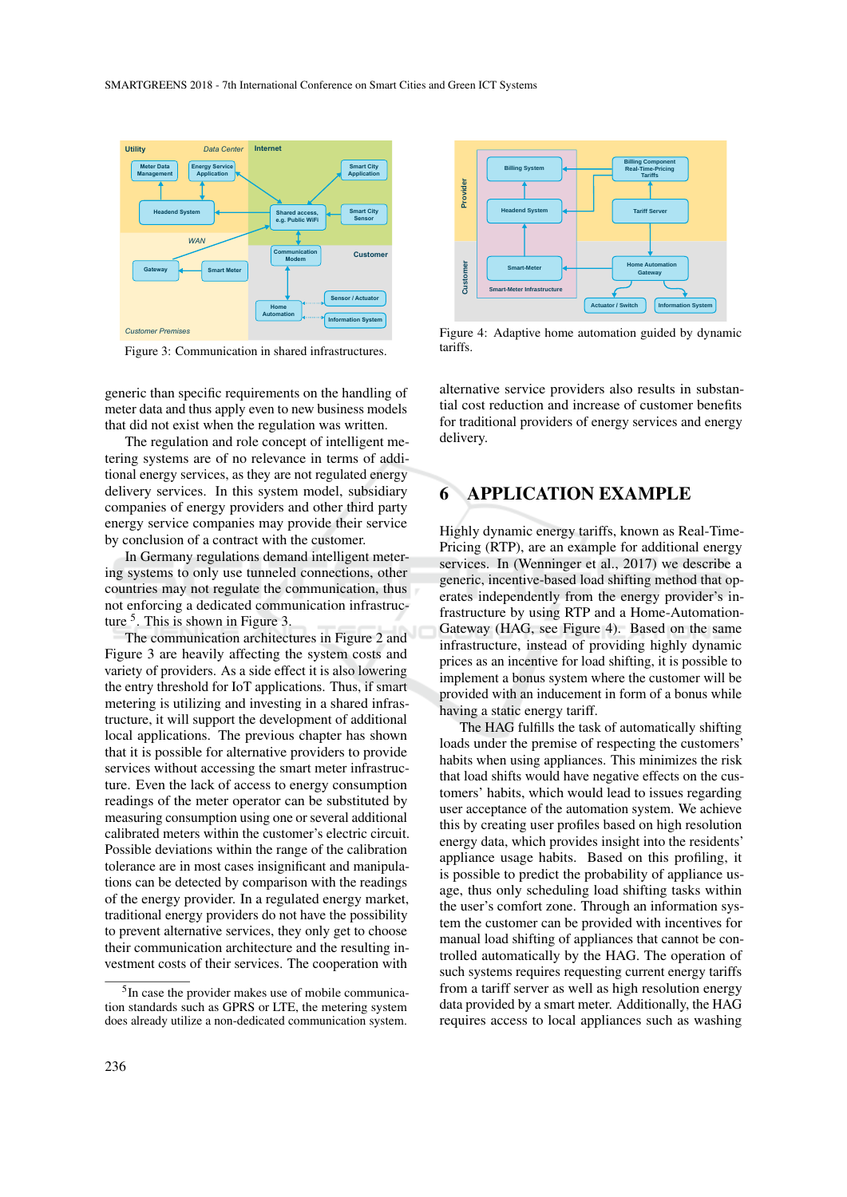

Figure 3: Communication in shared infrastructures.

generic than specific requirements on the handling of meter data and thus apply even to new business models that did not exist when the regulation was written.

The regulation and role concept of intelligent metering systems are of no relevance in terms of additional energy services, as they are not regulated energy delivery services. In this system model, subsidiary companies of energy providers and other third party energy service companies may provide their service by conclusion of a contract with the customer.

In Germany regulations demand intelligent metering systems to only use tunneled connections, other countries may not regulate the communication, thus not enforcing a dedicated communication infrastructure <sup>5</sup>. This is shown in Figure 3.

The communication architectures in Figure 2 and Figure 3 are heavily affecting the system costs and variety of providers. As a side effect it is also lowering the entry threshold for IoT applications. Thus, if smart metering is utilizing and investing in a shared infrastructure, it will support the development of additional local applications. The previous chapter has shown that it is possible for alternative providers to provide services without accessing the smart meter infrastructure. Even the lack of access to energy consumption readings of the meter operator can be substituted by measuring consumption using one or several additional calibrated meters within the customer's electric circuit. Possible deviations within the range of the calibration tolerance are in most cases insignificant and manipulations can be detected by comparison with the readings of the energy provider. In a regulated energy market, traditional energy providers do not have the possibility to prevent alternative services, they only get to choose their communication architecture and the resulting investment costs of their services. The cooperation with



Figure 4: Adaptive home automation guided by dynamic tariffs.

alternative service providers also results in substantial cost reduction and increase of customer benefits for traditional providers of energy services and energy delivery.

### 6 APPLICATION EXAMPLE

Highly dynamic energy tariffs, known as Real-Time-Pricing (RTP), are an example for additional energy services. In (Wenninger et al., 2017) we describe a generic, incentive-based load shifting method that operates independently from the energy provider's infrastructure by using RTP and a Home-Automation-Gateway (HAG, see Figure 4). Based on the same infrastructure, instead of providing highly dynamic prices as an incentive for load shifting, it is possible to implement a bonus system where the customer will be provided with an inducement in form of a bonus while having a static energy tariff.

The HAG fulfills the task of automatically shifting loads under the premise of respecting the customers' habits when using appliances. This minimizes the risk that load shifts would have negative effects on the customers' habits, which would lead to issues regarding user acceptance of the automation system. We achieve this by creating user profiles based on high resolution energy data, which provides insight into the residents' appliance usage habits. Based on this profiling, it is possible to predict the probability of appliance usage, thus only scheduling load shifting tasks within the user's comfort zone. Through an information system the customer can be provided with incentives for manual load shifting of appliances that cannot be controlled automatically by the HAG. The operation of such systems requires requesting current energy tariffs from a tariff server as well as high resolution energy data provided by a smart meter. Additionally, the HAG requires access to local appliances such as washing

<sup>&</sup>lt;sup>5</sup>In case the provider makes use of mobile communication standards such as GPRS or LTE, the metering system does already utilize a non-dedicated communication system.